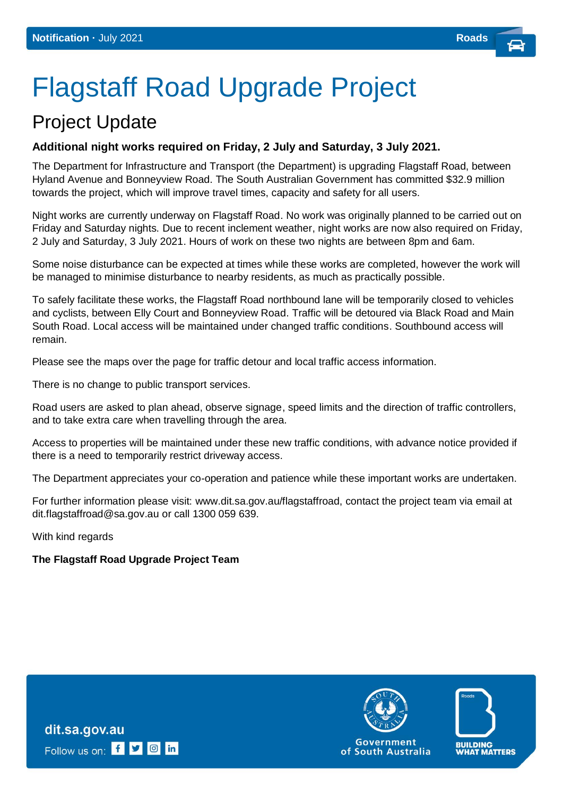# Flagstaff Road Upgrade Project

# Project Update

## **Additional night works required on Friday, 2 July and Saturday, 3 July 2021.**

The Department for Infrastructure and Transport (the Department) is upgrading Flagstaff Road, between Hyland Avenue and Bonneyview Road. The South Australian Government has committed \$32.9 million towards the project, which will improve travel times, capacity and safety for all users.

Night works are currently underway on Flagstaff Road. No work was originally planned to be carried out on Friday and Saturday nights. Due to recent inclement weather, night works are now also required on Friday, 2 July and Saturday, 3 July 2021. Hours of work on these two nights are between 8pm and 6am.

Some noise disturbance can be expected at times while these works are completed, however the work will be managed to minimise disturbance to nearby residents, as much as practically possible.

To safely facilitate these works, the Flagstaff Road northbound lane will be temporarily closed to vehicles and cyclists, between Elly Court and Bonneyview Road. Traffic will be detoured via Black Road and Main South Road. Local access will be maintained under changed traffic conditions. Southbound access will remain.

Please see the maps over the page for traffic detour and local traffic access information.

There is no change to public transport services.

Road users are asked to plan ahead, observe signage, speed limits and the direction of traffic controllers, and to take extra care when travelling through the area.

Access to properties will be maintained under these new traffic conditions, with advance notice provided if there is a need to temporarily restrict driveway access.

The Department appreciates your co-operation and patience while these important works are undertaken.

For further information please visit: [www.dit.sa.gov.au/flagstaffroad, c](http://www.dit.sa.gov.au/springbank)ontact the project team via email a[t](mailto:DIT.communityrelations@sa.gov.au) [dit.flagstaffroad@sa.gov.au o](mailto:DIT.communityrelations@sa.gov.au)r call 1300 059 639.

With kind regards

#### **The Flagstaff Road Upgrade Project Team**

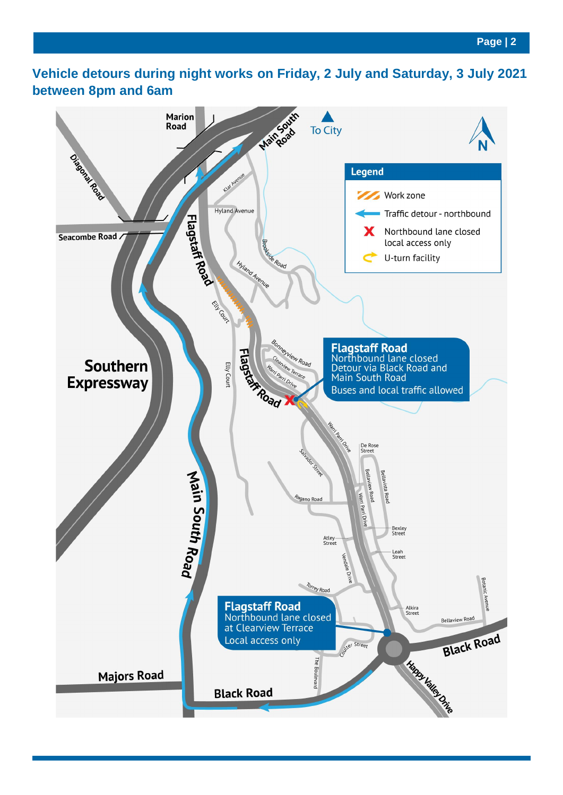# **Vehicle detours during night works on Friday, 2 July and Saturday, 3 July 2021 between 8pm and 6am**